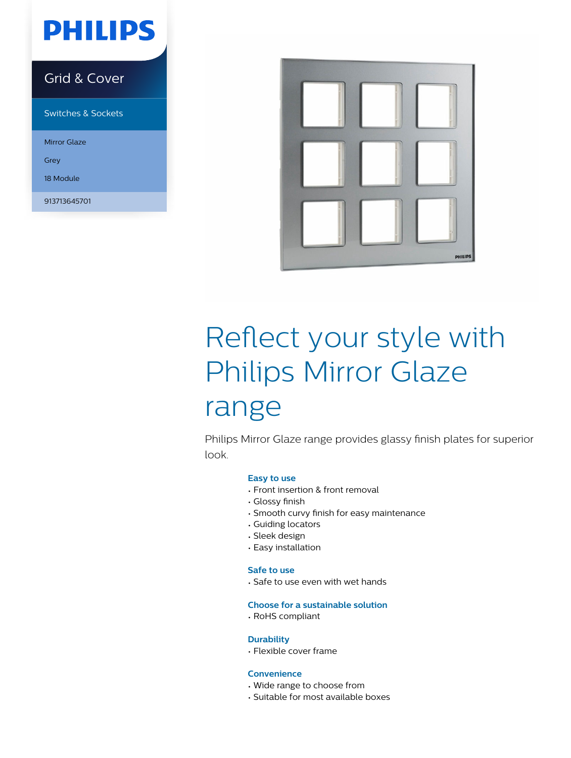## **PHILIPS**

## Grid & Cover

Switches & Sockets

Mirror Glaze

Grey

18 Module

913713645701



# Reflect your style with Philips Mirror Glaze range

Philips Mirror Glaze range provides glassy finish plates for superior look.

### **Easy to use**

- Front insertion & front removal
- Glossy finish
- Smooth curvy finish for easy maintenance
- Guiding locators
- Sleek design
- Easy installation

### **Safe to use**

• Safe to use even with wet hands

### **Choose for a sustainable solution**

• RoHS compliant

## **Durability**

• Flexible cover frame

## **Convenience**

- Wide range to choose from
- Suitable for most available boxes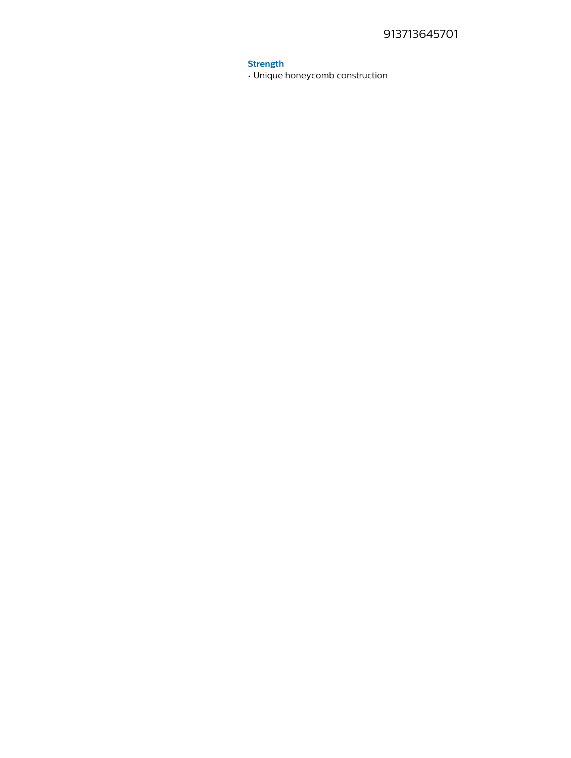## **Strength**

. Unique honeycomb construction